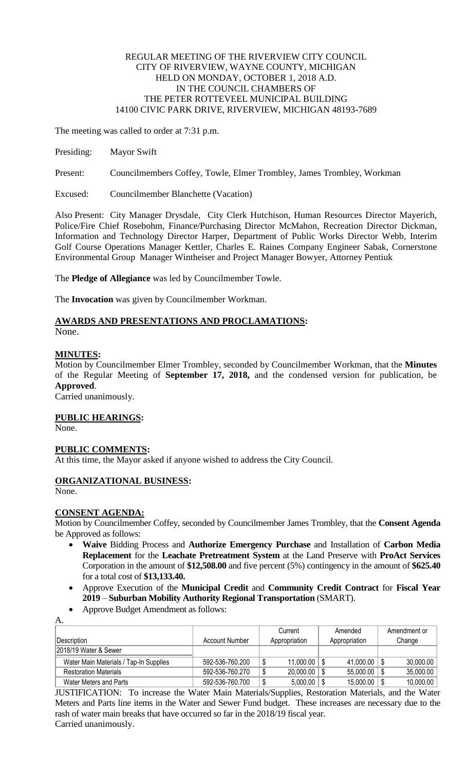## REGULAR MEETING OF THE RIVERVIEW CITY COUNCIL CITY OF RIVERVIEW, WAYNE COUNTY, MICHIGAN HELD ON MONDAY, OCTOBER 1, 2018 A.D. IN THE COUNCIL CHAMBERS OF THE PETER ROTTEVEEL MUNICIPAL BUILDING 14100 CIVIC PARK DRIVE, RIVERVIEW, MICHIGAN 48193-7689

The meeting was called to order at 7:31 p.m.

Presiding: Mayor Swift

Present: Councilmembers Coffey, Towle, Elmer Trombley, James Trombley, Workman

Excused: Councilmember Blanchette (Vacation)

Also Present: City Manager Drysdale, City Clerk Hutchison, Human Resources Director Mayerich, Police/Fire Chief Rosebohm, Finance/Purchasing Director McMahon, Recreation Director Dickman, Information and Technology Director Harper, Department of Public Works Director Webb, Interim Golf Course Operations Manager Kettler, Charles E. Raines Company Engineer Sabak, Cornerstone Environmental Group Manager Wintheiser and Project Manager Bowyer, Attorney Pentiuk

The **Pledge of Allegiance** was led by Councilmember Towle.

The **Invocation** was given by Councilmember Workman.

# **AWARDS AND PRESENTATIONS AND PROCLAMATIONS:**

None.

# **MINUTES:**

Motion by Councilmember Elmer Trombley, seconded by Councilmember Workman, that the **Minutes** of the Regular Meeting of **September 17, 2018,** and the condensed version for publication, be **Approved**.

Carried unanimously.

**PUBLIC HEARINGS:**

None.

# **PUBLIC COMMENTS:**

At this time, the Mayor asked if anyone wished to address the City Council.

# **ORGANIZATIONAL BUSINESS:**

None.

A.

#### **CONSENT AGENDA:**

Motion by Councilmember Coffey, seconded by Councilmember James Trombley, that the **Consent Agenda**  be Approved as follows:

- **Waive** Bidding Process and **Authorize Emergency Purchase** and Installation of **Carbon Media Replacement** for the **Leachate Pretreatment System** at the Land Preserve with **ProAct Services** Corporation in the amount of **\$12,508.00** and five percent (5%) contingency in the amount of **\$625.40** for a total cost of **\$13,133.40.**
- Approve Execution of the **Municipal Credit** and **Community Credit Contract** for **Fiscal Year 2019** – **Suburban Mobility Authority Regional Transportation** (SMART).
- Approve Budget Amendment as follows:

|                                        |                 | Current       | Amended          | Amendment or |
|----------------------------------------|-----------------|---------------|------------------|--------------|
| !Description_                          | Account Number  | Appropriation | Appropriation    | Change       |
| 2018/19 Water & Sewer                  |                 |               |                  |              |
| Water Main Materials / Tap-In Supplies | 592-536-760.200 | 11,000.00     | $41,000.00$   \$ | 30,000.00    |
| <b>Restoration Materials</b>           | 592-536-760.270 | 20,000.00     | $55,000.00$   \$ | 35,000.00    |
| Water Meters and Parts                 | 592-536-760.700 | 5,000.00      | $15,000.00$   \$ | 10,000.00    |

JUSTIFICATION: To increase the Water Main Materials/Supplies, Restoration Materials, and the Water Meters and Parts line items in the Water and Sewer Fund budget. These increases are necessary due to the rash of water main breaks that have occurred so far in the 2018/19 fiscal year. Carried unanimously.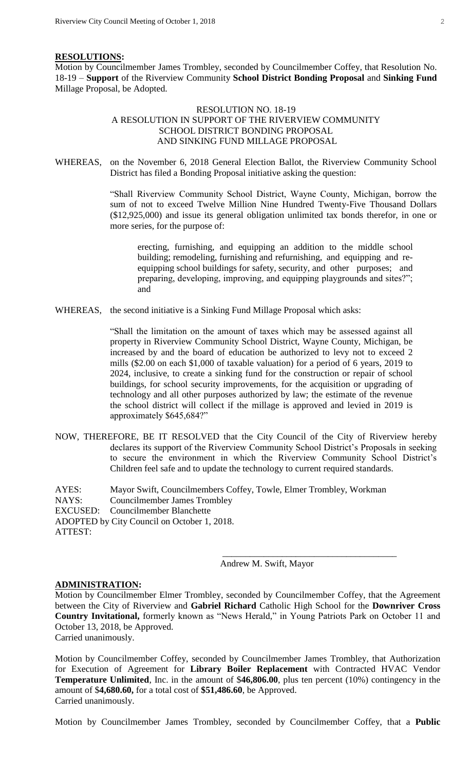#### **RESOLUTIONS:**

Motion by Councilmember James Trombley, seconded by Councilmember Coffey, that Resolution No. 18-19 – **Support** of the Riverview Community **School District Bonding Proposal** and **Sinking Fund** Millage Proposal, be Adopted.

## RESOLUTION NO. 18-19 A RESOLUTION IN SUPPORT OF THE RIVERVIEW COMMUNITY SCHOOL DISTRICT BONDING PROPOSAL AND SINKING FUND MILLAGE PROPOSAL

WHEREAS, on the November 6, 2018 General Election Ballot, the Riverview Community School District has filed a Bonding Proposal initiative asking the question:

> "Shall Riverview Community School District, Wayne County, Michigan, borrow the sum of not to exceed Twelve Million Nine Hundred Twenty-Five Thousand Dollars (\$12,925,000) and issue its general obligation unlimited tax bonds therefor, in one or more series, for the purpose of:

erecting, furnishing, and equipping an addition to the middle school building; remodeling, furnishing and refurnishing, and equipping and reequipping school buildings for safety, security, and other purposes; and preparing, developing, improving, and equipping playgrounds and sites?"; and

WHEREAS, the second initiative is a Sinking Fund Millage Proposal which asks:

"Shall the limitation on the amount of taxes which may be assessed against all property in Riverview Community School District, Wayne County, Michigan, be increased by and the board of education be authorized to levy not to exceed 2 mills (\$2.00 on each \$1,000 of taxable valuation) for a period of 6 years, 2019 to 2024, inclusive, to create a sinking fund for the construction or repair of school buildings, for school security improvements, for the acquisition or upgrading of technology and all other purposes authorized by law; the estimate of the revenue the school district will collect if the millage is approved and levied in 2019 is approximately \$645,684?"

NOW, THEREFORE, BE IT RESOLVED that the City Council of the City of Riverview hereby declares its support of the Riverview Community School District's Proposals in seeking to secure the environment in which the Riverview Community School District's Children feel safe and to update the technology to current required standards.

AYES: Mayor Swift, Councilmembers Coffey, Towle, Elmer Trombley, Workman NAYS: Councilmember James Trombley EXCUSED: Councilmember Blanchette ADOPTED by City Council on October 1, 2018. ATTEST:

Andrew M. Swift, Mayor

\_\_\_\_\_\_\_\_\_\_\_\_\_\_\_\_\_\_\_\_\_\_\_\_\_\_\_\_\_\_\_\_\_\_\_\_\_\_

#### **ADMINISTRATION:**

Motion by Councilmember Elmer Trombley, seconded by Councilmember Coffey, that the Agreement between the City of Riverview and **Gabriel Richard** Catholic High School for the **Downriver Cross Country Invitational,** formerly known as "News Herald," in Young Patriots Park on October 11 and October 13, 2018, be Approved.

Carried unanimously.

Motion by Councilmember Coffey, seconded by Councilmember James Trombley, that Authorization for Execution of Agreement for **Library Boiler Replacement** with Contracted HVAC Vendor **Temperature Unlimited**, Inc. in the amount of \$**46,806.00**, plus ten percent (10%) contingency in the amount of \$**4,680.60,** for a total cost of **\$51,486.60**, be Approved. Carried unanimously.

Motion by Councilmember James Trombley, seconded by Councilmember Coffey, that a **Public**